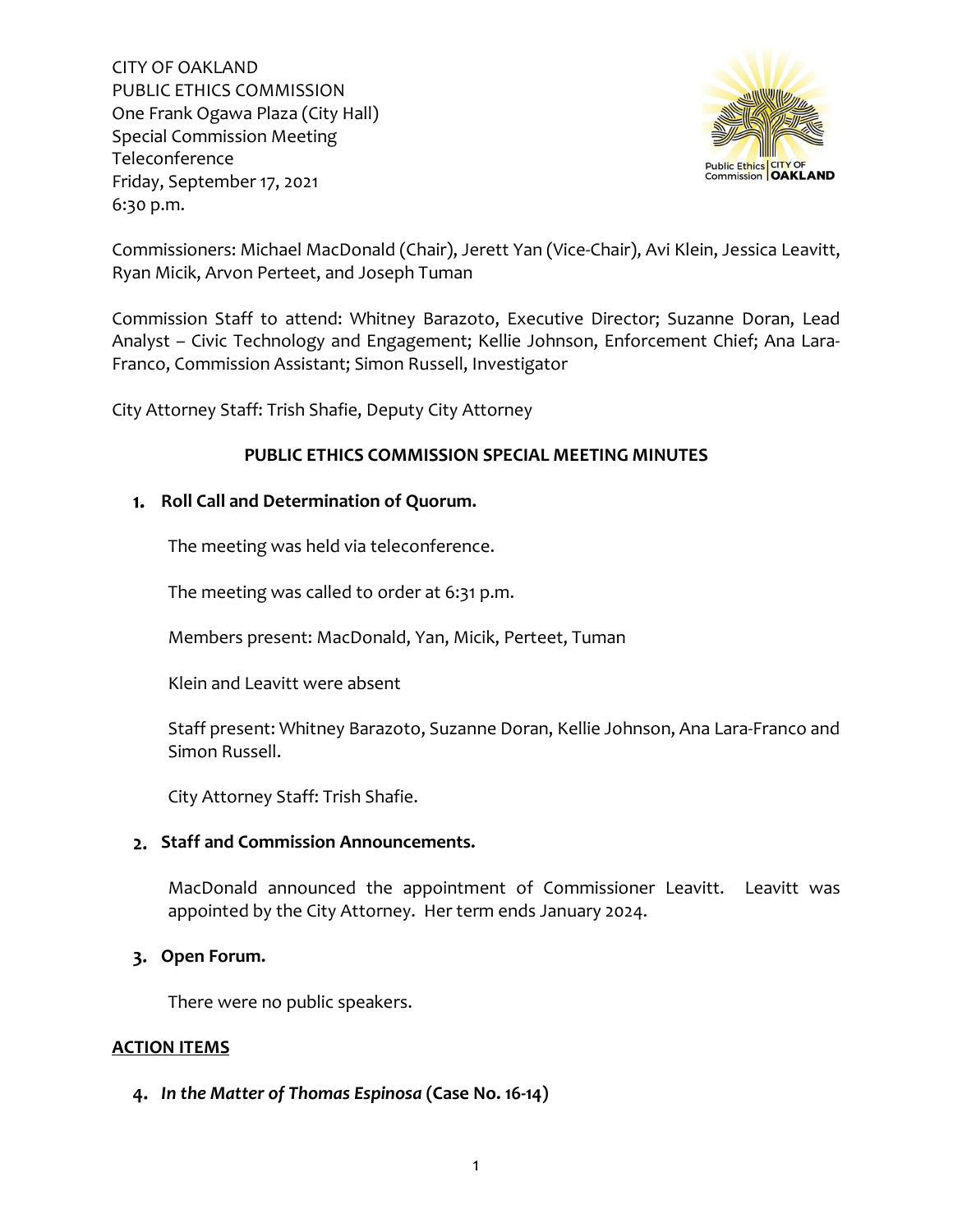

Commissioners: Michael MacDonald (Chair), Jerett Yan (Vice-Chair), Avi Klein, Jessica Leavitt, Ryan Micik, Arvon Perteet, and Joseph Tuman

Commission Staff to attend: Whitney Barazoto, Executive Director; Suzanne Doran, Lead Analyst – Civic Technology and Engagement; Kellie Johnson, Enforcement Chief; Ana Lara-Franco, Commission Assistant; Simon Russell, Investigator

City Attorney Staff: Trish Shafie, Deputy City Attorney

## **PUBLIC ETHICS COMMISSION SPECIAL MEETING MINUTES**

# **Roll Call and Determination of Quorum.**

The meeting was held via teleconference.

The meeting was called to order at 6:31 p.m.

Members present: MacDonald, Yan, Micik, Perteet, Tuman

Klein and Leavitt were absent

Staff present: Whitney Barazoto, Suzanne Doran, Kellie Johnson, Ana Lara-Franco and Simon Russell.

City Attorney Staff: Trish Shafie.

## **Staff and Commission Announcements.**

MacDonald announced the appointment of Commissioner Leavitt. Leavitt was appointed by the City Attorney. Her term ends January 2024.

## **Open Forum.**

There were no public speakers.

## **ACTION ITEMS**

## *In the Matter of Thomas Espinosa* **(Case No. 16-14)**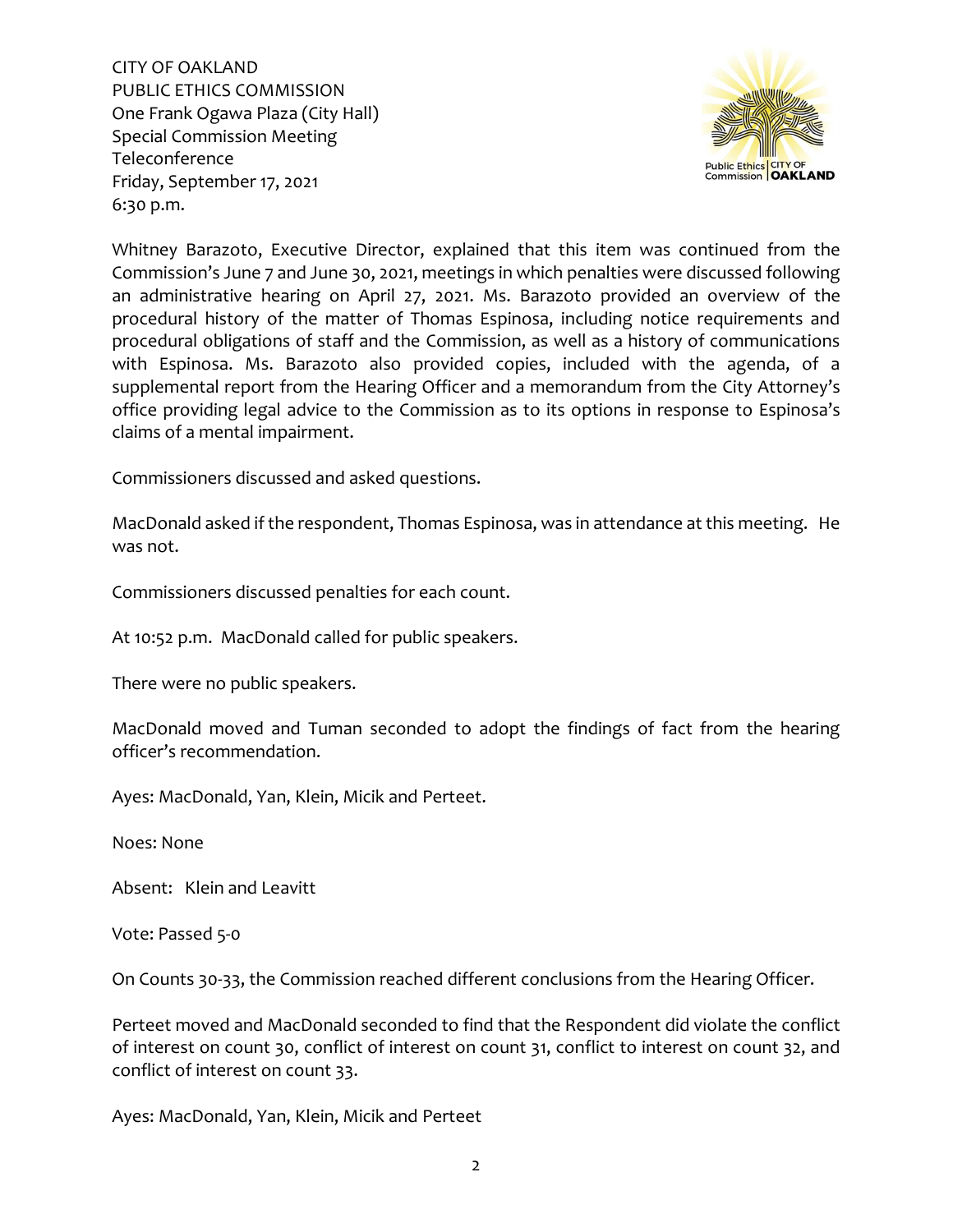

Whitney Barazoto, Executive Director, explained that this item was continued from the Commission's June 7 and June 30, 2021, meetings in which penalties were discussed following an administrative hearing on April 27, 2021. Ms. Barazoto provided an overview of the procedural history of the matter of Thomas Espinosa, including notice requirements and procedural obligations of staff and the Commission, as well as a history of communications with Espinosa. Ms. Barazoto also provided copies, included with the agenda, of a supplemental report from the Hearing Officer and a memorandum from the City Attorney's office providing legal advice to the Commission as to its options in response to Espinosa's claims of a mental impairment.

Commissioners discussed and asked questions.

MacDonald asked if the respondent, Thomas Espinosa, was in attendance at this meeting. He was not.

Commissioners discussed penalties for each count.

At 10:52 p.m. MacDonald called for public speakers.

There were no public speakers.

MacDonald moved and Tuman seconded to adopt the findings of fact from the hearing officer's recommendation.

Ayes: MacDonald, Yan, Klein, Micik and Perteet.

Noes: None

Absent: Klein and Leavitt

Vote: Passed 5-0

On Counts 30-33, the Commission reached different conclusions from the Hearing Officer.

Perteet moved and MacDonald seconded to find that the Respondent did violate the conflict of interest on count 30, conflict of interest on count 31, conflict to interest on count 32, and conflict of interest on count 33.

Ayes: MacDonald, Yan, Klein, Micik and Perteet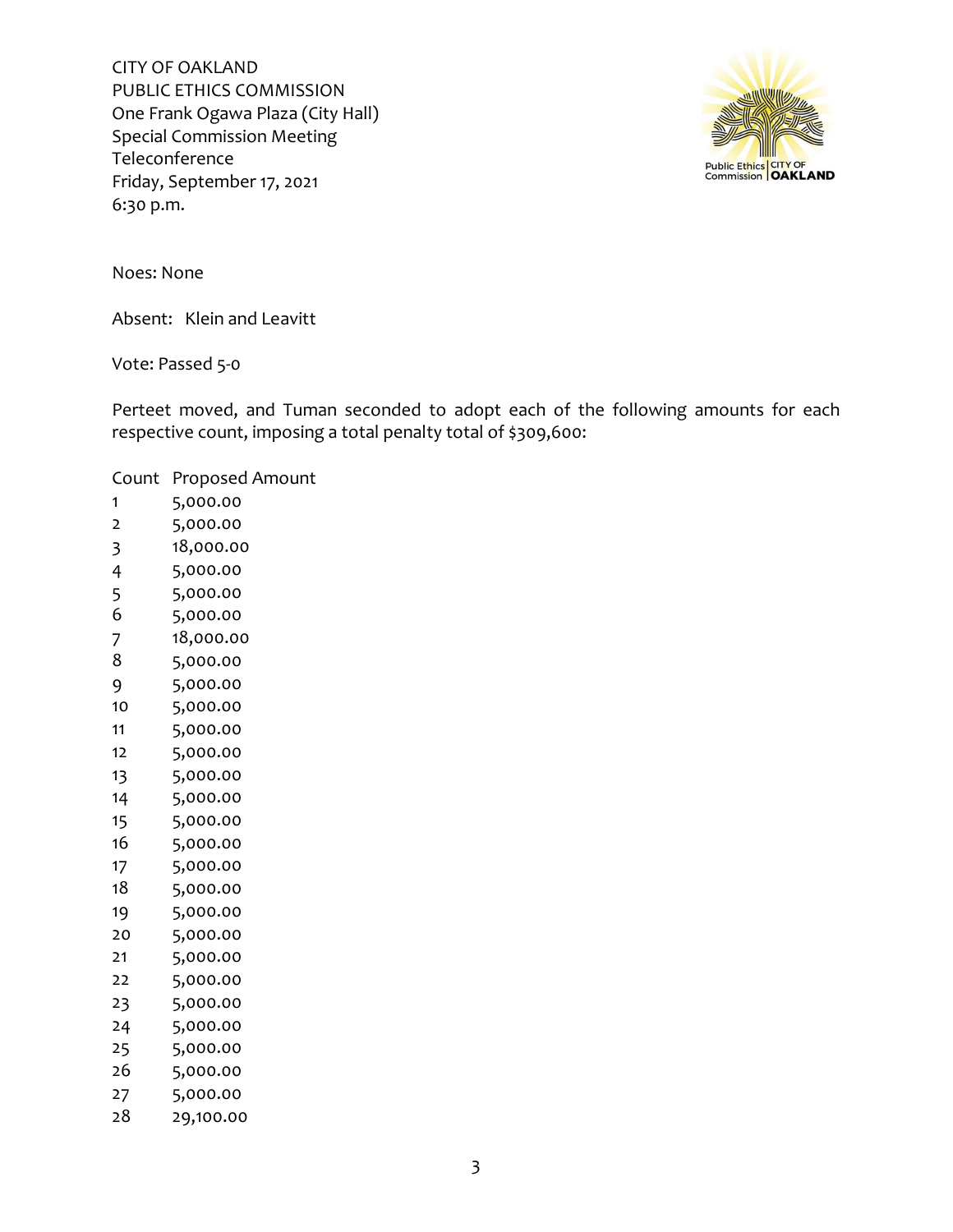

Noes: None

Absent: Klein and Leavitt

Vote: Passed 5-0

Perteet moved, and Tuman seconded to adopt each of the following amounts for each respective count, imposing a total penalty total of \$309,600:

### Count Proposed Amount

- 5,000.00 5,000.00 18,000.00 5,000.00
- 5,000.00 5,000.00
- 18,000.00
- 5,000.00
- 5,000.00
- 
- 5,000.00
- 5,000.00
- 5,000.00 5,000.00
- 5,000.00
- 
- 5,000.00
- 5,000.00
- 5,000.00
- 5,000.00
- 5,000.00
- 5,000.00
- 5,000.00
- 5,000.00
- 5,000.00
- 5,000.00
- 5,000.00
- 5,000.00
- 5,000.00
- 29,100.00